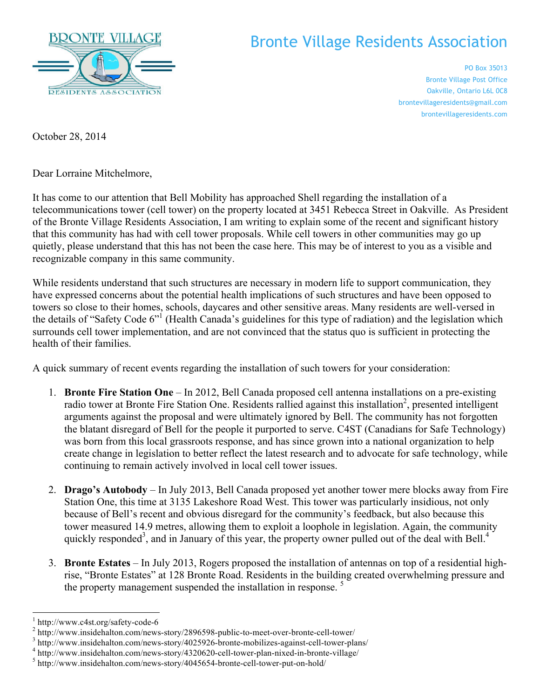

## Bronte Village Residents Association

PO Box 35013 Bronte Village Post Office Oakville, Ontario L6L 0C8 brontevillageresidents@gmail.com brontevillageresidents.com

October 28, 2014

Dear Lorraine Mitchelmore,

It has come to our attention that Bell Mobility has approached Shell regarding the installation of a telecommunications tower (cell tower) on the property located at 3451 Rebecca Street in Oakville. As President of the Bronte Village Residents Association, I am writing to explain some of the recent and significant history that this community has had with cell tower proposals. While cell towers in other communities may go up quietly, please understand that this has not been the case here. This may be of interest to you as a visible and recognizable company in this same community.

While residents understand that such structures are necessary in modern life to support communication, they have expressed concerns about the potential health implications of such structures and have been opposed to towers so close to their homes, schools, daycares and other sensitive areas. Many residents are well-versed in the details of "Safety Code 6"<sup>1</sup> (Health Canada's guidelines for this type of radiation) and the legislation which surrounds cell tower implementation, and are not convinced that the status quo is sufficient in protecting the health of their families.

A quick summary of recent events regarding the installation of such towers for your consideration:

- 1. **Bronte Fire Station One** In 2012, Bell Canada proposed cell antenna installations on a pre-existing radio tower at Bronte Fire Station One. Residents rallied against this installation<sup>2</sup>, presented intelligent arguments against the proposal and were ultimately ignored by Bell. The community has not forgotten the blatant disregard of Bell for the people it purported to serve. C4ST (Canadians for Safe Technology) was born from this local grassroots response, and has since grown into a national organization to help create change in legislation to better reflect the latest research and to advocate for safe technology, while continuing to remain actively involved in local cell tower issues.
- 2. **Drago's Autobody** In July 2013, Bell Canada proposed yet another tower mere blocks away from Fire Station One, this time at 3135 Lakeshore Road West. This tower was particularly insidious, not only because of Bell's recent and obvious disregard for the community's feedback, but also because this tower measured 14.9 metres, allowing them to exploit a loophole in legislation. Again, the community quickly responded<sup>3</sup>, and in January of this year, the property owner pulled out of the deal with Bell.<sup>4</sup>
- 3. **Bronte Estates** In July 2013, Rogers proposed the installation of antennas on top of a residential highrise, "Bronte Estates" at 128 Bronte Road. Residents in the building created overwhelming pressure and the property management suspended the installation in response.<sup>5</sup>

-

<sup>&</sup>lt;sup>1</sup> http://www.c4st.org/safety-code-6<br>
<sup>2</sup> http://www.insidehalton.com/news-story/2896598-public-to-meet-over-bronte-cell-tower/<br>
<sup>3</sup> http://www.insidehalton.com/news-story/4025926-bronte-mobilizes-against-cell-tower-plan